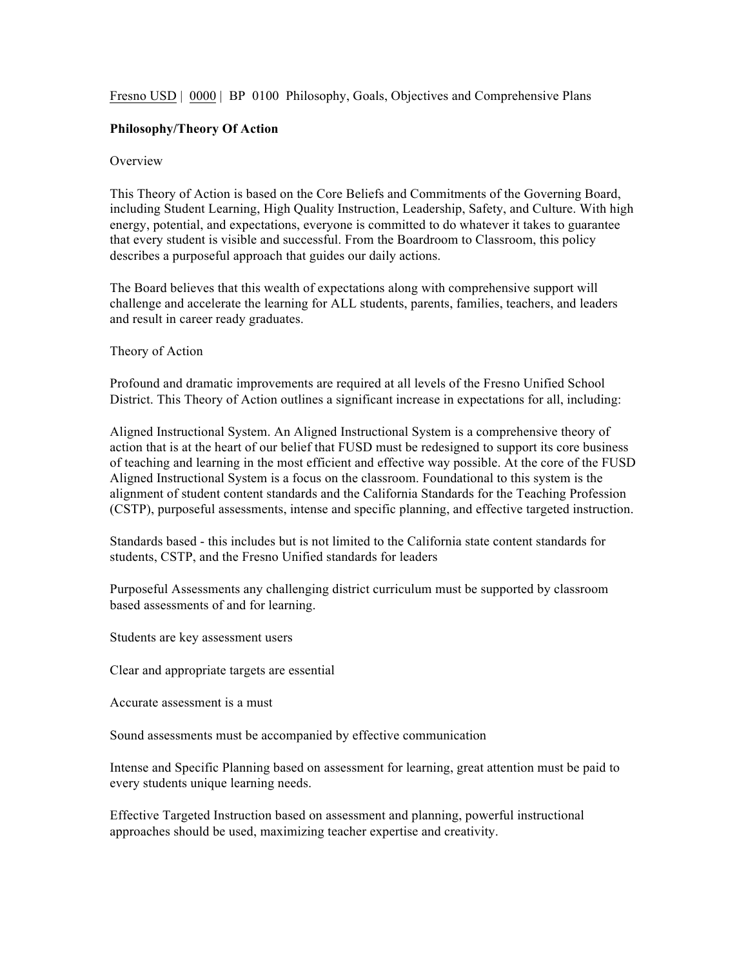Fresno USD | 0000 | BP 0100 Philosophy, Goals, Objectives and Comprehensive Plans

## **Philosophy/Theory Of Action**

## **Overview**

This Theory of Action is based on the Core Beliefs and Commitments of the Governing Board, including Student Learning, High Quality Instruction, Leadership, Safety, and Culture. With high energy, potential, and expectations, everyone is committed to do whatever it takes to guarantee that every student is visible and successful. From the Boardroom to Classroom, this policy describes a purposeful approach that guides our daily actions.

The Board believes that this wealth of expectations along with comprehensive support will challenge and accelerate the learning for ALL students, parents, families, teachers, and leaders and result in career ready graduates.

Theory of Action

Profound and dramatic improvements are required at all levels of the Fresno Unified School District. This Theory of Action outlines a significant increase in expectations for all, including:

Aligned Instructional System. An Aligned Instructional System is a comprehensive theory of action that is at the heart of our belief that FUSD must be redesigned to support its core business of teaching and learning in the most efficient and effective way possible. At the core of the FUSD Aligned Instructional System is a focus on the classroom. Foundational to this system is the alignment of student content standards and the California Standards for the Teaching Profession (CSTP), purposeful assessments, intense and specific planning, and effective targeted instruction.

Standards based - this includes but is not limited to the California state content standards for students, CSTP, and the Fresno Unified standards for leaders

Purposeful Assessments any challenging district curriculum must be supported by classroom based assessments of and for learning.

Students are key assessment users

Clear and appropriate targets are essential

Accurate assessment is a must

Sound assessments must be accompanied by effective communication

Intense and Specific Planning based on assessment for learning, great attention must be paid to every students unique learning needs.

Effective Targeted Instruction based on assessment and planning, powerful instructional approaches should be used, maximizing teacher expertise and creativity.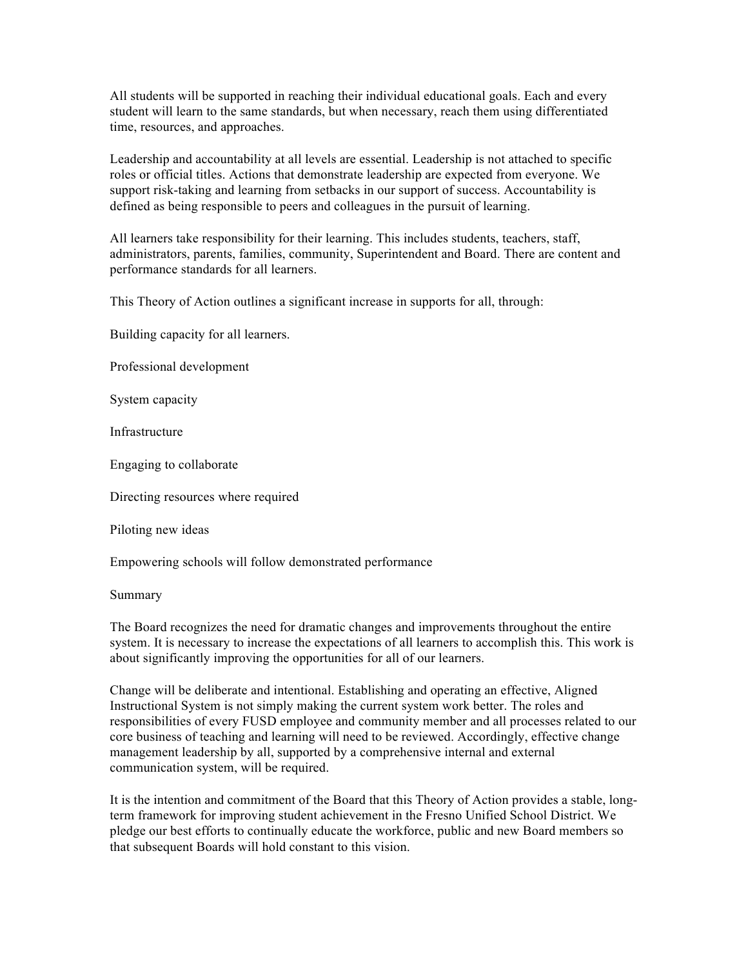All students will be supported in reaching their individual educational goals. Each and every student will learn to the same standards, but when necessary, reach them using differentiated time, resources, and approaches.

Leadership and accountability at all levels are essential. Leadership is not attached to specific roles or official titles. Actions that demonstrate leadership are expected from everyone. We support risk-taking and learning from setbacks in our support of success. Accountability is defined as being responsible to peers and colleagues in the pursuit of learning.

All learners take responsibility for their learning. This includes students, teachers, staff, administrators, parents, families, community, Superintendent and Board. There are content and performance standards for all learners.

This Theory of Action outlines a significant increase in supports for all, through:

Building capacity for all learners.

Professional development

System capacity

Infrastructure

Engaging to collaborate

Directing resources where required

Piloting new ideas

Empowering schools will follow demonstrated performance

Summary

The Board recognizes the need for dramatic changes and improvements throughout the entire system. It is necessary to increase the expectations of all learners to accomplish this. This work is about significantly improving the opportunities for all of our learners.

Change will be deliberate and intentional. Establishing and operating an effective, Aligned Instructional System is not simply making the current system work better. The roles and responsibilities of every FUSD employee and community member and all processes related to our core business of teaching and learning will need to be reviewed. Accordingly, effective change management leadership by all, supported by a comprehensive internal and external communication system, will be required.

It is the intention and commitment of the Board that this Theory of Action provides a stable, longterm framework for improving student achievement in the Fresno Unified School District. We pledge our best efforts to continually educate the workforce, public and new Board members so that subsequent Boards will hold constant to this vision.